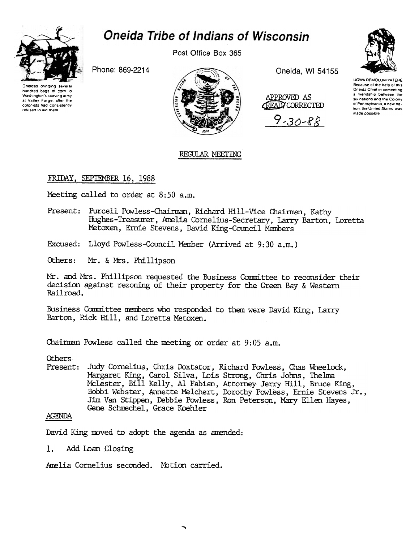

# Oneida Tribe of Indians of Wisconsin

Post Office Box 365

Phone: 869-2214





Oneida, WI 54155

APPROVED AS **CEAD CORRECTED** 

 $9 - 30 - 88$ 



UGWA DEMOLUM YATEHE Because of the help of this Oneida Chief in cementing a litendship between the six nations and the Colony of Pennsylvania, a new nation, the United States, was made possible

## REGULAR MEETING

## FRIDAY, SEPTEMBER 16, 1988

Meeting called to order at 8:50 a.m.

- Present: Purcell Powless-Chairman, Richard Hill-Vice Chairman, Kathy Hughes-Treasurer, Amelia Cornelius-Secretary, Larry Barton, Loretta Metoxen, Ernie Stevens, David King-Council Members
- Excused: Lloyd Powless-Council Member (Arrived at 9:30 a.m.)
- Mr. & Mrs. Phillipson Others:

Mr. and Mrs. Phillipson requested the Business Committee to reconsider their decision against rezoning of their property for the Green Bay & Western Railroad.

Business Committee members who responded to them were David King, Larry Barton, Rick Hill, and Loretta Metoxen.

Chairman Powless called the meeting or order at 9:05 a.m.

Others.

Present: Judy Cornelius, Chris Doxtator, Richard Powless, Chas Wheelock, Margaret King, Carol Silva, Lois Strong, Chris Johns, Thelma McLester, Bill Kelly, Al Fabian, Attorney Jerry Hill, Bruce King, Bobbi Webster, Annette Melchert, Dorothy Powless, Ernie Stevens Jr., Jim Van Stippen, Debbie Powless, Ron Peterson, Mary Ellen Hayes, Gene Schmechel, Grace Koehler

### **AGENDA**

David King moved to adopt the agenda as amended:

 $1.$ Add Loan Closing

Amelia Cornelius seconded. Motion carried.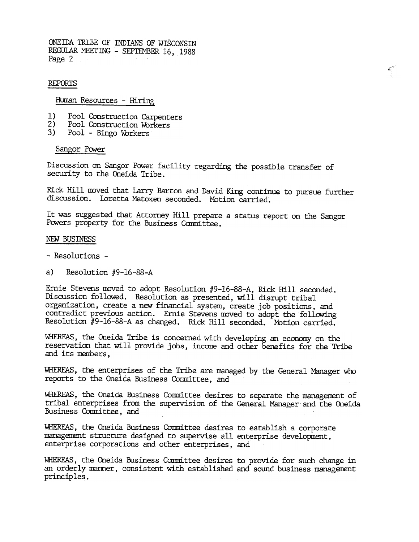ONEIDA TRIBE OF INDIANS OF WISCONSTN REGULAR MEETING - SEPTEMBER  $16$ , 1988<br>Page 2

#### REPORTS

Human Resources - Hiring

- 1) Pool Construction Carpenters
- 2) Pool Construction Workers
- 3) Pool - Bingo Workers

#### Sangor Power

Discussion on Sangor Power facility regarding the possible transfer of security to the Oneida Tribe.

Rick Hill moved that Larry Barton and David King continue to pursue further discussion. Loretta Metoxen seconded. Motion carried.

It was suggested that Attorney Hill prepare a status report on the Sangor Powers property for the Business Committee.

#### NEW BUSINESS

- -Resolutions -
- a) Resolution  $#9-16-88-A$

Ernie Stevens moved to adopt Resolution #9-16-88-A, Rick Hill seconded. Discussion followed. Resolution as presented, will disrupt tribal organization, create a new financial system, create job positions, and contradict previous action. Ernie Stevens moved to adopt the following Resolution  $#9$ -16-88-A as changed. Rick Hill seconded. Motion carried.

\41IERFAS, the Oneida Tribe is concerned with developing an economy on the reservation that will provide jobs, income and other benefits for the Tribe and its menbers,

WHEREAS, the enterprises of the Tribe are managed by the General Manager who reports to the Oneida Business Committee, and

WHEREAS, the Oneida Business Committee desires to separate the management of tribal enterprises from the supervision of the General Manager and the Oneida Business Comnittee, and

WHEREAS, the Oneida Business Committee desires to establish a corporate management structure designed to supervise all enterprise development. enterprise corporations and other enterprises, and

WHEREAS, the Oneida Business Committee desires to provide for such change in an orderly manner, consistent with established and sound business management principles.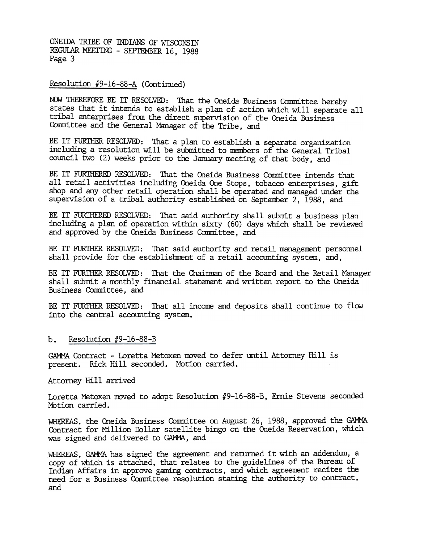ONEIDA TRIBE OF INDIANS OF WISCONSIN REGULAR MEETING - SEPTEMBER 16, 1988 Page 3

Resolution #9-16-88-A (Continued)

NOW THEREFORE BE IT RESOLVED: That the Oneida Business Committee hereby states that it intends to establish a plan of action which will separate all tribal enterprises fran the direct supervision of the Oneida Business Committee and the General Manager of the Tribe, and

BE IT FURTHER RESOLVED: That a plan to establish a separate organization including a resolution will be submitted to members of the General Tribal council two (2) weeks prior to the January meeting of that body, and

BE IT FURTHERED RESOLVED: That the Oneida Business Committee intends that all retail activities including Oneida One Stops, tobacco enterprises, gift shop and any other retail operation shall be operated and managed under the supervision of a tribal authority established on September 2, 1988, and

BE IT FURTHERED RESOLVED: That said authority shall submit a business plan including a plan of operation within sixty (60) days which shall be reviewed and approved by the Oneida Business Committee, and

BE IT FURTHER RESOLVED: That said authority and retail management personnel shall provide for the establishment of a retail accounting system, and,

BE IT FURTHER RESOLVED: That the Chairman of the Board and the Retail Manager shall submit a monthly financial statement and written report to the Oneida Business Committee, and

BE IT FURTHER RESOLVED: That all income and deposits shall continue to flow into the central accounting system.

b. Resolution  $#9-16-88-B$ 

GAMMA Contract - Loretta Metoxen moved to defer until Attorney Hill is present. Rick Hill seconded. Mbtion carried.

Attorney Hill arrived

Loretta Metoxen moved to adopt Resolution #9-16-88-B, Ernie Stevens seconded Motion carried.

WHEREAS, the Oneida Business Committee on August 26, 1988, approved the GAMMA Contract for Million Dollar satellite bingo on the Oneida Reservation, which was signed and delivered to GAMMA, and

WHEREAS, GAMMA has signed the agreement and returned it with an addendum, a copy of Which is attached, that relates to the guidelines of the Bureau of Indian Affairs in approve gaming contracts, and which agreement recites the need for a Business Committee resolution stating the authority to contract, and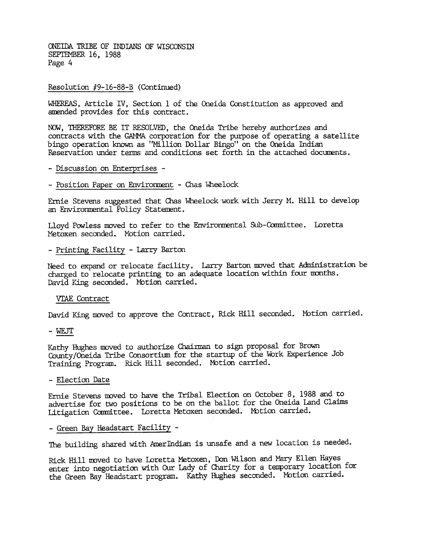ONEIDA TRIBE OF INDIANS OF WISCONSIN SEPTEMBER 16, 1988 Page 4

#### Resolution #9-16-88-B (Continued)

WHEREAS. Article IV. Section 1 of the Oneida Constitution as approved and amended provides for this contract.

NOW. THEREFORE BE IT RESOLVED, the Oneida Tribe hereby authorizes and contracts with the GAMMA corporation for the purpose of operating a satellite bingo operation known as "Million Dollar Bingo" on dhe Oneida Indian Reservation under terms and conditions set forth in the attached documents.

- ~ Discussion on Enterprises -
- Position Paper on Environment Chas Wheelock

Ernie Stevens suggested that Chas Wheelock work with Jerry M. Hill to develop an Environmental Policy Statement.

Lloyd Powless moved to refer to the Environmental Sub-Committee. Lorett Metoxen seconded. MOtion carried.

-Printing Facility -Larry Barton

Need to expand or relocate facility. Larry Barton moved that Administration be charged to relocate printing to an adequate location within four months. David King seconded. Motion carried.

#### VIAE Contract

David King moved to approve the Contract, Rick Hill seconded. Motion carried.

-WEJT

Kathy Hughes moved to authorize Chairman to sign proposal for Brown County/Oneida Tribe Consortitm for the startup of the Work Experience Job Training Program. Rick Hill seconded. Motion carried.

#### -Election Date

Ernie Stevens moved to have the Tribal Election on October 8, 1988 and to advertise for two positions to be on the ballot for the Oneida Land Claims Litigation Committee. Loretta Metoxen seconded. Mbtion carried.

#### -Green Bay Headstart Facility -

The building shared with AmerIndian is unsafe and a new location is needed.

Rick Hill moved to have Ioretta Metoxen, Don Wilson and Mary Ellen Hayes enter into negotiation with Our Lady of Charity for a temporary location for the Green Bay Headstart program. Kathy Hughes seconded. Motion carried.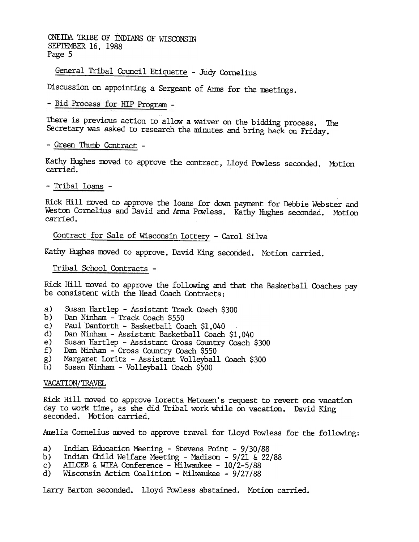ONEillA 1RIBE OF INDIANS OF WISCONSIN SEPTEMBER 16, 1988 Page 5

General Tribal Council Etiquette - Judy Cornelius

Discussion on appointing a Sergeant of Arms for the meetings.

- Bid Process for HIP Program -

There is previous action to allow a waiver on the bidding process. The Secretary was asked to research the minutes and bring back on Friday.

- Green Thumb Contract -

Kathy Hughes moved to approve the contract, Lloyd Powless seconded. Motic carried.

-Tribal loans -

Rick Hill moved to approve the loans for down payment for Debbie Webster and Weston Cornelius and David and Anna Powless. Kathy Hughes seconded. Motion carried.

Contract for Sale of Wisconsin Lottery - Carol Silva

Kathy Hughes moved to approve, David King seconded. Motion carried.

Tribal School Contracts -

Rick Hill moved to approve the following and that the Basketball Coaches pay be consistent with the Head Coach Contracts:

- a) Susan Hartlep - Assistant Track Coach \$300
- b) Dan Ninham - Track Coach \$550
- c) Paul Danforth - Basketball Coach \$1,040
- d) Dan Ninham - Assistant Basketball Coach \$1,040
- e) Susan Hartlep -Assistant Cross Country Coach \$300
- f) Dan Ninham - Cross Country Coach \$550
- g) Margaret Loritz - Assistant Volleyball Coach \$300
- h) Susan Ninham - Volleyball Coach \$500

#### VACATION/TRAVEl.

Rick Hill moved to approve Loretta Metoxen's request to revert one vacation day to work tine, as she did Tribal work while on vacation. David King seconded. Motion carried.

Amelia Cornelius moved to approve travel for Lloyd Powless for the following:

- a) Indian Education Meeting - Stevens Point - 9/30/88
- b) Indian Child Welfare Meeting - Madison - 9/21 & 22/88
- c) AILCEB & WIEA Conference - Milwaukee - 10/2-5/88
- d) Wisconsin Action Coalition - Milwaukee - 9/27/88

Larry Barton seconded. Lloyd Powless abstained. Motion carried.